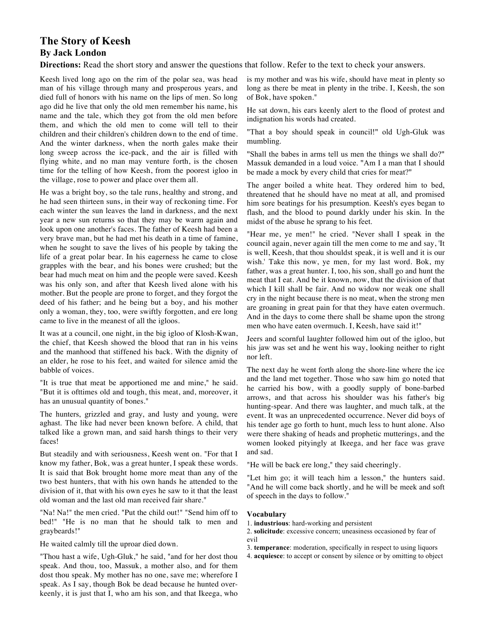# **The Story of Keesh By Jack London**

**Directions:** Read the short story and answer the questions that follow. Refer to the text to check your answers.

Keesh lived long ago on the rim of the polar sea, was head man of his village through many and prosperous years, and died full of honors with his name on the lips of men. So long ago did he live that only the old men remember his name, his name and the tale, which they got from the old men before them, and which the old men to come will tell to their children and their children's children down to the end of time. And the winter darkness, when the north gales make their long sweep across the ice-pack, and the air is filled with flying white, and no man may venture forth, is the chosen time for the telling of how Keesh, from the poorest igloo in the village, rose to power and place over them all.

He was a bright boy, so the tale runs, healthy and strong, and he had seen thirteen suns, in their way of reckoning time. For each winter the sun leaves the land in darkness, and the next year a new sun returns so that they may be warm again and look upon one another's faces. The father of Keesh had been a very brave man, but he had met his death in a time of famine, when he sought to save the lives of his people by taking the life of a great polar bear. In his eagerness he came to close grapples with the bear, and his bones were crushed; but the bear had much meat on him and the people were saved. Keesh was his only son, and after that Keesh lived alone with his mother. But the people are prone to forget, and they forgot the deed of his father; and he being but a boy, and his mother only a woman, they, too, were swiftly forgotten, and ere long came to live in the meanest of all the igloos.

It was at a council, one night, in the big igloo of Klosh-Kwan, the chief, that Keesh showed the blood that ran in his veins and the manhood that stiffened his back. With the dignity of an elder, he rose to his feet, and waited for silence amid the babble of voices.

"It is true that meat be apportioned me and mine," he said. "But it is ofttimes old and tough, this meat, and, moreover, it has an unusual quantity of bones."

The hunters, grizzled and gray, and lusty and young, were aghast. The like had never been known before. A child, that talked like a grown man, and said harsh things to their very faces!

But steadily and with seriousness, Keesh went on. "For that I know my father, Bok, was a great hunter, I speak these words. It is said that Bok brought home more meat than any of the two best hunters, that with his own hands he attended to the division of it, that with his own eyes he saw to it that the least old woman and the last old man received fair share."

"Na! Na!" the men cried. "Put the child out!" "Send him off to bed!" "He is no man that he should talk to men and graybeards!"

He waited calmly till the uproar died down.

"Thou hast a wife, Ugh-Gluk," he said, "and for her dost thou speak. And thou, too, Massuk, a mother also, and for them dost thou speak. My mother has no one, save me; wherefore I speak. As I say, though Bok be dead because he hunted overkeenly, it is just that I, who am his son, and that Ikeega, who is my mother and was his wife, should have meat in plenty so long as there be meat in plenty in the tribe. I, Keesh, the son of Bok, have spoken."

He sat down, his ears keenly alert to the flood of protest and indignation his words had created.

"That a boy should speak in council!" old Ugh-Gluk was mumbling.

"Shall the babes in arms tell us men the things we shall do?" Massuk demanded in a loud voice. "Am I a man that I should be made a mock by every child that cries for meat?"

The anger boiled a white heat. They ordered him to bed, threatened that he should have no meat at all, and promised him sore beatings for his presumption. Keesh's eyes began to flash, and the blood to pound darkly under his skin. In the midst of the abuse he sprang to his feet.

"Hear me, ye men!" he cried. "Never shall I speak in the council again, never again till the men come to me and say, 'It is well, Keesh, that thou shouldst speak, it is well and it is our wish.' Take this now, ye men, for my last word. Bok, my father, was a great hunter. I, too, his son, shall go and hunt the meat that I eat. And be it known, now, that the division of that which I kill shall be fair. And no widow nor weak one shall cry in the night because there is no meat, when the strong men are groaning in great pain for that they have eaten overmuch. And in the days to come there shall be shame upon the strong men who have eaten overmuch. I, Keesh, have said it!"

Jeers and scornful laughter followed him out of the igloo, but his jaw was set and he went his way, looking neither to right nor left.

The next day he went forth along the shore-line where the ice and the land met together. Those who saw him go noted that he carried his bow, with a goodly supply of bone-barbed arrows, and that across his shoulder was his father's big hunting-spear. And there was laughter, and much talk, at the event. It was an unprecedented occurrence. Never did boys of his tender age go forth to hunt, much less to hunt alone. Also were there shaking of heads and prophetic mutterings, and the women looked pityingly at Ikeega, and her face was grave and sad.

"He will be back ere long," they said cheeringly.

"Let him go; it will teach him a lesson," the hunters said. "And he will come back shortly, and he will be meek and soft of speech in the days to follow."

## **Vocabulary**

- 1. **industrious**: hard-working and persistent
- 2. **solicitude**: excessive concern; uneasiness occasioned by fear of evil
- 3. **temperance**: moderation, specifically in respect to using liquors
- 4. **acquiesce**: to accept or consent by silence or by omitting to object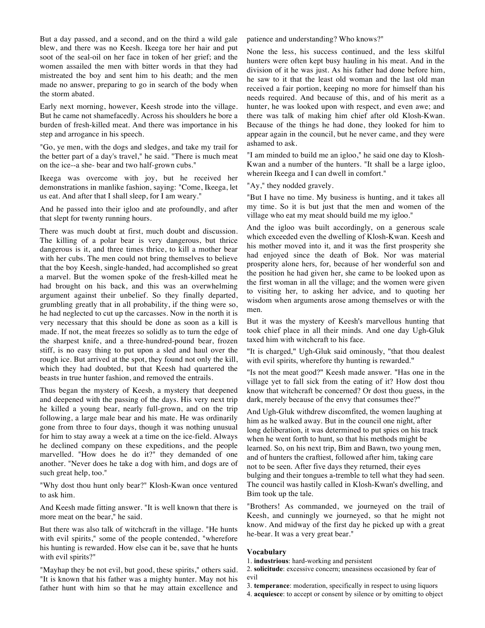But a day passed, and a second, and on the third a wild gale blew, and there was no Keesh. Ikeega tore her hair and put soot of the seal-oil on her face in token of her grief; and the women assailed the men with bitter words in that they had mistreated the boy and sent him to his death; and the men made no answer, preparing to go in search of the body when the storm abated.

Early next morning, however, Keesh strode into the village. But he came not shamefacedly. Across his shoulders he bore a burden of fresh-killed meat. And there was importance in his step and arrogance in his speech.

"Go, ye men, with the dogs and sledges, and take my trail for the better part of a day's travel," he said. "There is much meat on the ice--a she- bear and two half-grown cubs."

Ikeega was overcome with joy, but he received her demonstrations in manlike fashion, saying: "Come, Ikeega, let us eat. And after that I shall sleep, for I am weary."

And he passed into their igloo and ate profoundly, and after that slept for twenty running hours.

There was much doubt at first, much doubt and discussion. The killing of a polar bear is very dangerous, but thrice dangerous is it, and three times thrice, to kill a mother bear with her cubs. The men could not bring themselves to believe that the boy Keesh, single-handed, had accomplished so great a marvel. But the women spoke of the fresh-killed meat he had brought on his back, and this was an overwhelming argument against their unbelief. So they finally departed, grumbling greatly that in all probability, if the thing were so, he had neglected to cut up the carcasses. Now in the north it is very necessary that this should be done as soon as a kill is made. If not, the meat freezes so solidly as to turn the edge of the sharpest knife, and a three-hundred-pound bear, frozen stiff, is no easy thing to put upon a sled and haul over the rough ice. But arrived at the spot, they found not only the kill, which they had doubted, but that Keesh had quartered the beasts in true hunter fashion, and removed the entrails.

Thus began the mystery of Keesh, a mystery that deepened and deepened with the passing of the days. His very next trip he killed a young bear, nearly full-grown, and on the trip following, a large male bear and his mate. He was ordinarily gone from three to four days, though it was nothing unusual for him to stay away a week at a time on the ice-field. Always he declined company on these expeditions, and the people marvelled. "How does he do it?" they demanded of one another. "Never does he take a dog with him, and dogs are of such great help, too."

"Why dost thou hunt only bear?" Klosh-Kwan once ventured to ask him.

And Keesh made fitting answer. "It is well known that there is more meat on the bear," he said.

But there was also talk of witchcraft in the village. "He hunts with evil spirits," some of the people contended, "wherefore his hunting is rewarded. How else can it be, save that he hunts with evil spirits?"

"Mayhap they be not evil, but good, these spirits," others said. "It is known that his father was a mighty hunter. May not his father hunt with him so that he may attain excellence and

patience and understanding? Who knows?"

None the less, his success continued, and the less skilful hunters were often kept busy hauling in his meat. And in the division of it he was just. As his father had done before him, he saw to it that the least old woman and the last old man received a fair portion, keeping no more for himself than his needs required. And because of this, and of his merit as a hunter, he was looked upon with respect, and even awe; and there was talk of making him chief after old Klosh-Kwan. Because of the things he had done, they looked for him to appear again in the council, but he never came, and they were ashamed to ask.

"I am minded to build me an igloo," he said one day to Klosh-Kwan and a number of the hunters. "It shall be a large igloo, wherein Ikeega and I can dwell in comfort."

"Ay," they nodded gravely.

"But I have no time. My business is hunting, and it takes all my time. So it is but just that the men and women of the village who eat my meat should build me my igloo."

And the igloo was built accordingly, on a generous scale which exceeded even the dwelling of Klosh-Kwan. Keesh and his mother moved into it, and it was the first prosperity she had enjoyed since the death of Bok. Nor was material prosperity alone hers, for, because of her wonderful son and the position he had given her, she came to be looked upon as the first woman in all the village; and the women were given to visiting her, to asking her advice, and to quoting her wisdom when arguments arose among themselves or with the men.

But it was the mystery of Keesh's marvellous hunting that took chief place in all their minds. And one day Ugh-Gluk taxed him with witchcraft to his face.

"It is charged," Ugh-Gluk said ominously, "that thou dealest with evil spirits, wherefore thy hunting is rewarded."

"Is not the meat good?" Keesh made answer. "Has one in the village yet to fall sick from the eating of it? How dost thou know that witchcraft be concerned? Or dost thou guess, in the dark, merely because of the envy that consumes thee?"

And Ugh-Gluk withdrew discomfited, the women laughing at him as he walked away. But in the council one night, after long deliberation, it was determined to put spies on his track when he went forth to hunt, so that his methods might be learned. So, on his next trip, Bim and Bawn, two young men, and of hunters the craftiest, followed after him, taking care not to be seen. After five days they returned, their eyes bulging and their tongues a-tremble to tell what they had seen. The council was hastily called in Klosh-Kwan's dwelling, and Bim took up the tale.

"Brothers! As commanded, we journeyed on the trail of Keesh, and cunningly we journeyed, so that he might not know. And midway of the first day he picked up with a great he-bear. It was a very great bear."

#### **Vocabulary**

1. **industrious**: hard-working and persistent

- 2. **solicitude**: excessive concern; uneasiness occasioned by fear of evil
- 3. **temperance**: moderation, specifically in respect to using liquors
- 4. **acquiesce**: to accept or consent by silence or by omitting to object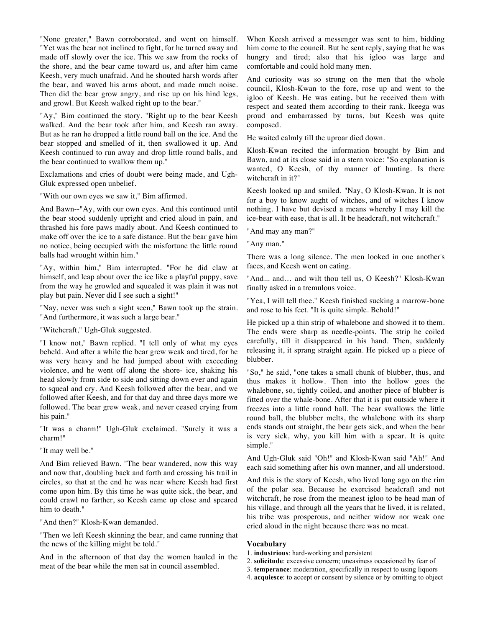"None greater," Bawn corroborated, and went on himself. "Yet was the bear not inclined to fight, for he turned away and made off slowly over the ice. This we saw from the rocks of the shore, and the bear came toward us, and after him came Keesh, very much unafraid. And he shouted harsh words after the bear, and waved his arms about, and made much noise. Then did the bear grow angry, and rise up on his hind legs, and growl. But Keesh walked right up to the bear."

"Ay," Bim continued the story. "Right up to the bear Keesh walked. And the bear took after him, and Keesh ran away. But as he ran he dropped a little round ball on the ice. And the bear stopped and smelled of it, then swallowed it up. And Keesh continued to run away and drop little round balls, and the bear continued to swallow them up."

Exclamations and cries of doubt were being made, and Ugh-Gluk expressed open unbelief.

"With our own eyes we saw it," Bim affirmed.

And Bawn--"Ay, with our own eyes. And this continued until the bear stood suddenly upright and cried aloud in pain, and thrashed his fore paws madly about. And Keesh continued to make off over the ice to a safe distance. But the bear gave him no notice, being occupied with the misfortune the little round balls had wrought within him."

"Ay, within him," Bim interrupted. "For he did claw at himself, and leap about over the ice like a playful puppy, save from the way he growled and squealed it was plain it was not play but pain. Never did I see such a sight!"

"Nay, never was such a sight seen," Bawn took up the strain. "And furthermore, it was such a large bear."

"Witchcraft," Ugh-Gluk suggested.

"I know not," Bawn replied. "I tell only of what my eyes beheld. And after a while the bear grew weak and tired, for he was very heavy and he had jumped about with exceeding violence, and he went off along the shore- ice, shaking his head slowly from side to side and sitting down ever and again to squeal and cry. And Keesh followed after the bear, and we followed after Keesh, and for that day and three days more we followed. The bear grew weak, and never ceased crying from his pain."

"It was a charm!" Ugh-Gluk exclaimed. "Surely it was a charm!"

"It may well be."

And Bim relieved Bawn. "The bear wandered, now this way and now that, doubling back and forth and crossing his trail in circles, so that at the end he was near where Keesh had first come upon him. By this time he was quite sick, the bear, and could crawl no farther, so Keesh came up close and speared him to death."

"And then?" Klosh-Kwan demanded.

"Then we left Keesh skinning the bear, and came running that the news of the killing might be told."

And in the afternoon of that day the women hauled in the meat of the bear while the men sat in council assembled.

When Keesh arrived a messenger was sent to him, bidding him come to the council. But he sent reply, saying that he was hungry and tired; also that his igloo was large and comfortable and could hold many men.

And curiosity was so strong on the men that the whole council, Klosh-Kwan to the fore, rose up and went to the igloo of Keesh. He was eating, but he received them with respect and seated them according to their rank. Ikeega was proud and embarrassed by turns, but Keesh was quite composed.

He waited calmly till the uproar died down.

Klosh-Kwan recited the information brought by Bim and Bawn, and at its close said in a stern voice: "So explanation is wanted, O Keesh, of thy manner of hunting. Is there witchcraft in it?"

Keesh looked up and smiled. "Nay, O Klosh-Kwan. It is not for a boy to know aught of witches, and of witches I know nothing. I have but devised a means whereby I may kill the ice-bear with ease, that is all. It be headcraft, not witchcraft."

"And may any man?"

"Any man."

There was a long silence. The men looked in one another's faces, and Keesh went on eating.

"And... and... and wilt thou tell us, O Keesh?" Klosh-Kwan finally asked in a tremulous voice.

"Yea, I will tell thee." Keesh finished sucking a marrow-bone and rose to his feet. "It is quite simple. Behold!"

He picked up a thin strip of whalebone and showed it to them. The ends were sharp as needle-points. The strip he coiled carefully, till it disappeared in his hand. Then, suddenly releasing it, it sprang straight again. He picked up a piece of blubber.

"So," he said, "one takes a small chunk of blubber, thus, and thus makes it hollow. Then into the hollow goes the whalebone, so, tightly coiled, and another piece of blubber is fitted over the whale-bone. After that it is put outside where it freezes into a little round ball. The bear swallows the little round ball, the blubber melts, the whalebone with its sharp ends stands out straight, the bear gets sick, and when the bear is very sick, why, you kill him with a spear. It is quite simple."

And Ugh-Gluk said "Oh!" and Klosh-Kwan said "Ah!" And each said something after his own manner, and all understood.

And this is the story of Keesh, who lived long ago on the rim of the polar sea. Because he exercised headcraft and not witchcraft, he rose from the meanest igloo to be head man of his village, and through all the years that he lived, it is related, his tribe was prosperous, and neither widow nor weak one cried aloud in the night because there was no meat.

## **Vocabulary**

- 1. **industrious**: hard-working and persistent
- 2. **solicitude**: excessive concern; uneasiness occasioned by fear of
- 3. **temperance**: moderation, specifically in respect to using liquors
- 4. **acquiesce**: to accept or consent by silence or by omitting to object